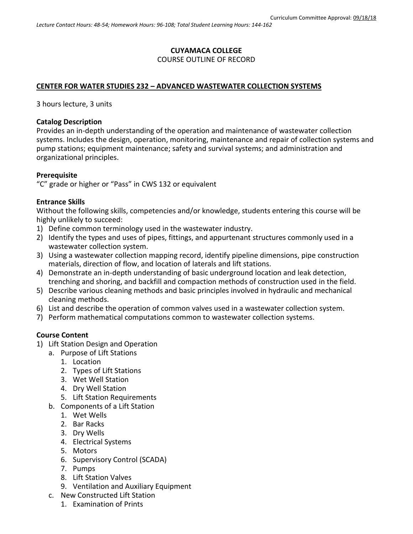# **CUYAMACA COLLEGE** COURSE OUTLINE OF RECORD

# **CENTER FOR WATER STUDIES 232 – ADVANCED WASTEWATER COLLECTION SYSTEMS**

3 hours lecture, 3 units

## **Catalog Description**

Provides an in-depth understanding of the operation and maintenance of wastewater collection systems. Includes the design, operation, monitoring, maintenance and repair of collection systems and pump stations; equipment maintenance; safety and survival systems; and administration and organizational principles.

## **Prerequisite**

"C" grade or higher or "Pass" in CWS 132 or equivalent

## **Entrance Skills**

Without the following skills, competencies and/or knowledge, students entering this course will be highly unlikely to succeed:

- 1) Define common terminology used in the wastewater industry.
- 2) Identify the types and uses of pipes, fittings, and appurtenant structures commonly used in a wastewater collection system.
- 3) Using a wastewater collection mapping record, identify pipeline dimensions, pipe construction materials, direction of flow, and location of laterals and lift stations.
- 4) Demonstrate an in-depth understanding of basic underground location and leak detection, trenching and shoring, and backfill and compaction methods of construction used in the field.
- 5) Describe various cleaning methods and basic principles involved in hydraulic and mechanical cleaning methods.
- 6) List and describe the operation of common valves used in a wastewater collection system.
- 7) Perform mathematical computations common to wastewater collection systems.

# **Course Content**

- 1) Lift Station Design and Operation
	- a. Purpose of Lift Stations
		- 1. Location
		- 2. Types of Lift Stations
		- 3. Wet Well Station
		- 4. Dry Well Station
		- 5. Lift Station Requirements
	- b. Components of a Lift Station
		- 1. Wet Wells
		- 2. Bar Racks
		- 3. Dry Wells
		- 4. Electrical Systems
		- 5. Motors
		- 6. Supervisory Control (SCADA)
		- 7. Pumps
		- 8. Lift Station Valves
		- 9. Ventilation and Auxiliary Equipment
	- c. New Constructed Lift Station
		- 1. Examination of Prints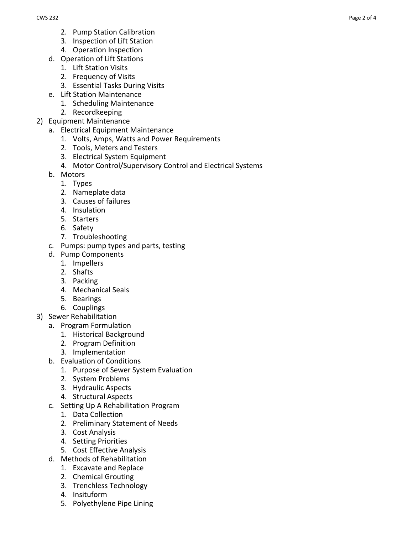- 2. Pump Station Calibration
- 3. Inspection of Lift Station
- 4. Operation Inspection
- d. Operation of Lift Stations
	- 1. Lift Station Visits
	- 2. Frequency of Visits
	- 3. Essential Tasks During Visits
- e. Lift Station Maintenance
	- 1. Scheduling Maintenance
	- 2. Recordkeeping
- 2) Equipment Maintenance
	- a. Electrical Equipment Maintenance
		- 1. Volts, Amps, Watts and Power Requirements
		- 2. Tools, Meters and Testers
		- 3. Electrical System Equipment
		- 4. Motor Control/Supervisory Control and Electrical Systems
	- b. Motors
		- 1. Types
		- 2. Nameplate data
		- 3. Causes of failures
		- 4. Insulation
		- 5. Starters
		- 6. Safety
		- 7. Troubleshooting
	- c. Pumps: pump types and parts, testing
	- d. Pump Components
		- 1. Impellers
		- 2. Shafts
		- 3. Packing
		- 4. Mechanical Seals
		- 5. Bearings
		- 6. Couplings
- 3) Sewer Rehabilitation
	- a. Program Formulation
		- 1. Historical Background
		- 2. Program Definition
		- 3. Implementation
	- b. Evaluation of Conditions
		- 1. Purpose of Sewer System Evaluation
		- 2. System Problems
		- 3. Hydraulic Aspects
		- 4. Structural Aspects
	- c. Setting Up A Rehabilitation Program
		- 1. Data Collection
		- 2. Preliminary Statement of Needs
		- 3. Cost Analysis
		- 4. Setting Priorities
		- 5. Cost Effective Analysis
	- d. Methods of Rehabilitation
		- 1. Excavate and Replace
		- 2. Chemical Grouting
		- 3. Trenchless Technology
		- 4. Insituform
		- 5. Polyethylene Pipe Lining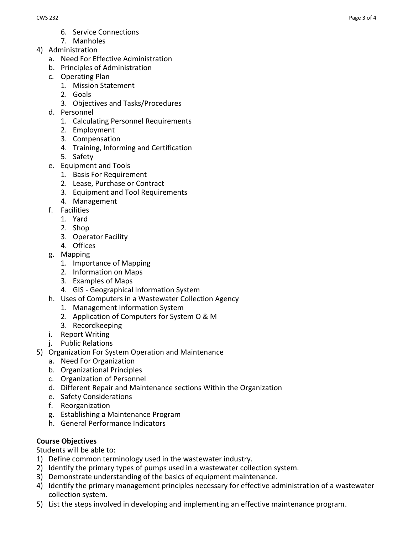- 6. Service Connections
- 7. Manholes
- 4) Administration
	- a. Need For Effective Administration
	- b. Principles of Administration
	- c. Operating Plan
		- 1. Mission Statement
		- 2. Goals
		- 3. Objectives and Tasks/Procedures
	- d. Personnel
		- 1. Calculating Personnel Requirements
		- 2. Employment
		- 3. Compensation
		- 4. Training, Informing and Certification
		- 5. Safety
	- e. Equipment and Tools
		- 1. Basis For Requirement
		- 2. Lease, Purchase or Contract
		- 3. Equipment and Tool Requirements
		- 4. Management
	- f. Facilities
		- 1. Yard
		- 2. Shop
		- 3. Operator Facility
		- 4. Offices
	- g. Mapping
		- 1. Importance of Mapping
		- 2. Information on Maps
		- 3. Examples of Maps
		- 4. GIS Geographical Information System
	- h. Uses of Computers in a Wastewater Collection Agency
		- 1. Management Information System
		- 2. Application of Computers for System O & M
		- 3. Recordkeeping
	- i. Report Writing
	- j. Public Relations
- 5) Organization For System Operation and Maintenance
	- a. Need For Organization
	- b. Organizational Principles
	- c. Organization of Personnel
	- d. Different Repair and Maintenance sections Within the Organization
	- e. Safety Considerations
	- f. Reorganization
	- g. Establishing a Maintenance Program
	- h. General Performance Indicators

# **Course Objectives**

Students will be able to:

- 1) Define common terminology used in the wastewater industry.
- 2) Identify the primary types of pumps used in a wastewater collection system.
- 3) Demonstrate understanding of the basics of equipment maintenance.
- 4) Identify the primary management principles necessary for effective administration of a wastewater collection system.
- 5) List the steps involved in developing and implementing an effective maintenance program.